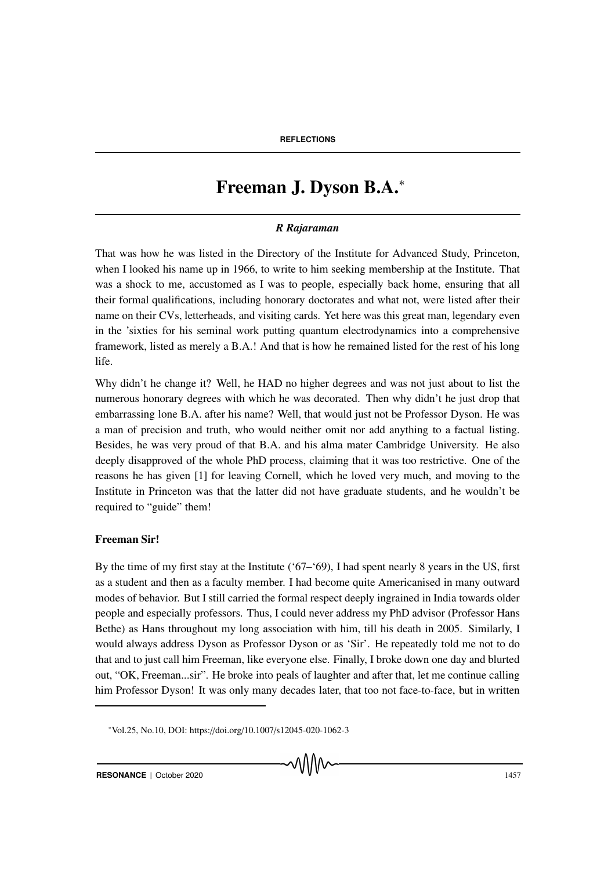# Freeman J. Dyson B.A.<sup>∗</sup>

## *R Rajaraman*

That was how he was listed in the Directory of the Institute for Advanced Study, Princeton, when I looked his name up in 1966, to write to him seeking membership at the Institute. That was a shock to me, accustomed as I was to people, especially back home, ensuring that all their formal qualifications, including honorary doctorates and what not, were listed after their name on their CVs, letterheads, and visiting cards. Yet here was this great man, legendary even in the 'sixties for his seminal work putting quantum electrodynamics into a comprehensive framework, listed as merely a B.A.! And that is how he remained listed for the rest of his long life.

Why didn't he change it? Well, he HAD no higher degrees and was not just about to list the numerous honorary degrees with which he was decorated. Then why didn't he just drop that embarrassing lone B.A. after his name? Well, that would just not be Professor Dyson. He was a man of precision and truth, who would neither omit nor add anything to a factual listing. Besides, he was very proud of that B.A. and his alma mater Cambridge University. He also deeply disapproved of the whole PhD process, claiming that it was too restrictive. One of the reasons he has given [1] for leaving Cornell, which he loved very much, and moving to the Institute in Princeton was that the latter did not have graduate students, and he wouldn't be required to "guide" them!

## Freeman Sir!

By the time of my first stay at the Institute ('67–'69), I had spent nearly 8 years in the US, first as a student and then as a faculty member. I had become quite Americanised in many outward modes of behavior. But I still carried the formal respect deeply ingrained in India towards older people and especially professors. Thus, I could never address my PhD advisor (Professor Hans Bethe) as Hans throughout my long association with him, till his death in 2005. Similarly, I would always address Dyson as Professor Dyson or as 'Sir'. He repeatedly told me not to do that and to just call him Freeman, like everyone else. Finally, I broke down one day and blurted out, "OK, Freeman...sir". He broke into peals of laughter and after that, let me continue calling him Professor Dyson! It was only many decades later, that too not face-to-face, but in written

<sup>∗</sup>Vol.25, No.10, DOI: https://doi.org/10.1007/s12045-020-1062-3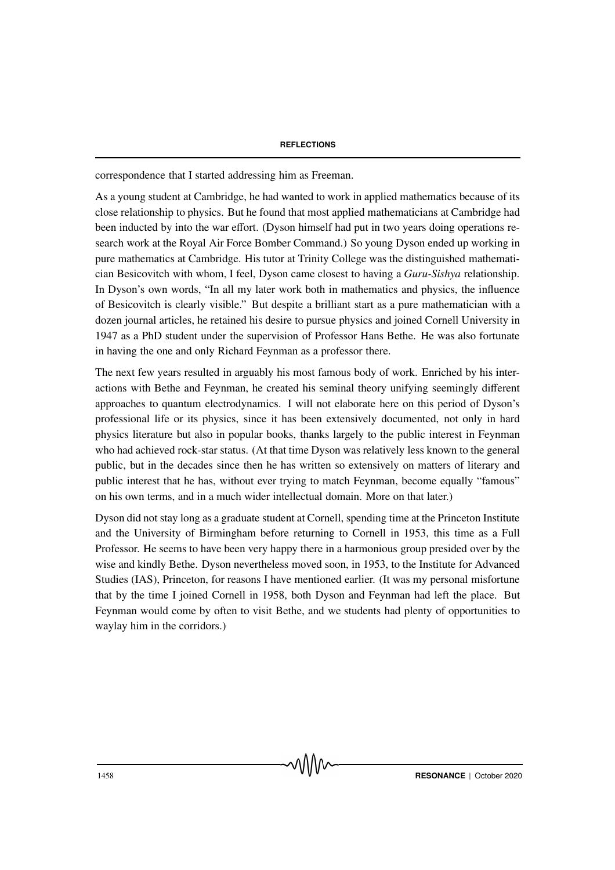#### **REFLECTIONS**

correspondence that I started addressing him as Freeman.

As a young student at Cambridge, he had wanted to work in applied mathematics because of its close relationship to physics. But he found that most applied mathematicians at Cambridge had been inducted by into the war effort. (Dyson himself had put in two years doing operations research work at the Royal Air Force Bomber Command.) So young Dyson ended up working in pure mathematics at Cambridge. His tutor at Trinity College was the distinguished mathematician Besicovitch with whom, I feel, Dyson came closest to having a *Guru-Sishya* relationship. In Dyson's own words, "In all my later work both in mathematics and physics, the influence of Besicovitch is clearly visible." But despite a brilliant start as a pure mathematician with a dozen journal articles, he retained his desire to pursue physics and joined Cornell University in 1947 as a PhD student under the supervision of Professor Hans Bethe. He was also fortunate in having the one and only Richard Feynman as a professor there.

The next few years resulted in arguably his most famous body of work. Enriched by his interactions with Bethe and Feynman, he created his seminal theory unifying seemingly different approaches to quantum electrodynamics. I will not elaborate here on this period of Dyson's professional life or its physics, since it has been extensively documented, not only in hard physics literature but also in popular books, thanks largely to the public interest in Feynman who had achieved rock-star status. (At that time Dyson was relatively less known to the general public, but in the decades since then he has written so extensively on matters of literary and public interest that he has, without ever trying to match Feynman, become equally "famous" on his own terms, and in a much wider intellectual domain. More on that later.)

Dyson did not stay long as a graduate student at Cornell, spending time at the Princeton Institute and the University of Birmingham before returning to Cornell in 1953, this time as a Full Professor. He seems to have been very happy there in a harmonious group presided over by the wise and kindly Bethe. Dyson nevertheless moved soon, in 1953, to the Institute for Advanced Studies (IAS), Princeton, for reasons I have mentioned earlier. (It was my personal misfortune that by the time I joined Cornell in 1958, both Dyson and Feynman had left the place. But Feynman would come by often to visit Bethe, and we students had plenty of opportunities to waylay him in the corridors.)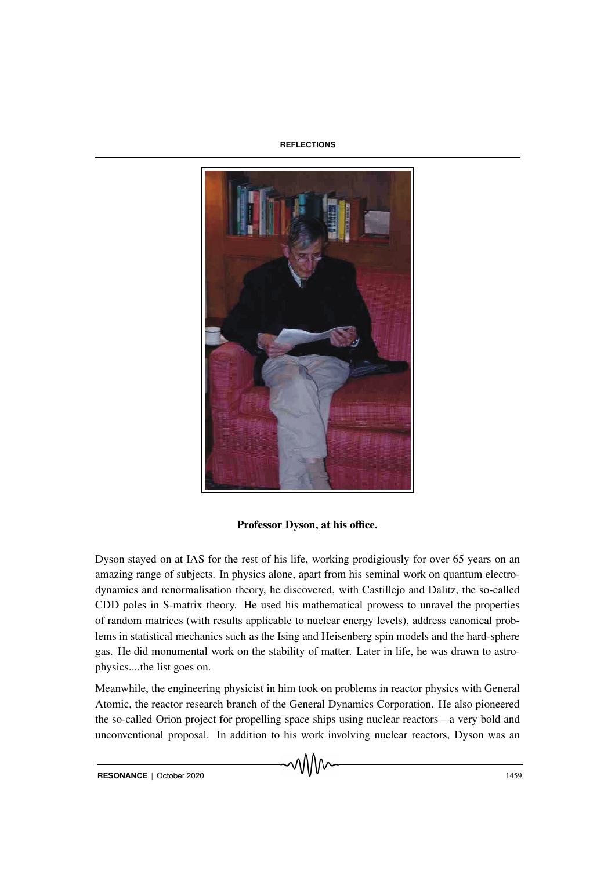



Professor Dyson, at his office.

Dyson stayed on at IAS for the rest of his life, working prodigiously for over 65 years on an amazing range of subjects. In physics alone, apart from his seminal work on quantum electrodynamics and renormalisation theory, he discovered, with Castillejo and Dalitz, the so-called CDD poles in S-matrix theory. He used his mathematical prowess to unravel the properties of random matrices (with results applicable to nuclear energy levels), address canonical problems in statistical mechanics such as the Ising and Heisenberg spin models and the hard-sphere gas. He did monumental work on the stability of matter. Later in life, he was drawn to astrophysics....the list goes on.

Meanwhile, the engineering physicist in him took on problems in reactor physics with General Atomic, the reactor research branch of the General Dynamics Corporation. He also pioneered the so-called Orion project for propelling space ships using nuclear reactors—a very bold and unconventional proposal. In addition to his work involving nuclear reactors, Dyson was an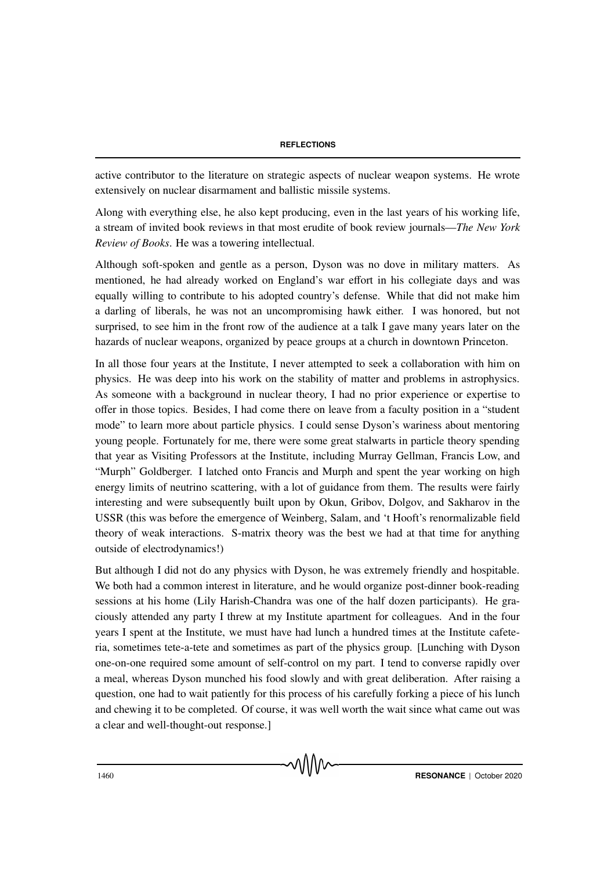active contributor to the literature on strategic aspects of nuclear weapon systems. He wrote extensively on nuclear disarmament and ballistic missile systems.

Along with everything else, he also kept producing, even in the last years of his working life, a stream of invited book reviews in that most erudite of book review journals—*The New York Review of Books*. He was a towering intellectual.

Although soft-spoken and gentle as a person, Dyson was no dove in military matters. As mentioned, he had already worked on England's war effort in his collegiate days and was equally willing to contribute to his adopted country's defense. While that did not make him a darling of liberals, he was not an uncompromising hawk either. I was honored, but not surprised, to see him in the front row of the audience at a talk I gave many years later on the hazards of nuclear weapons, organized by peace groups at a church in downtown Princeton.

In all those four years at the Institute, I never attempted to seek a collaboration with him on physics. He was deep into his work on the stability of matter and problems in astrophysics. As someone with a background in nuclear theory, I had no prior experience or expertise to offer in those topics. Besides, I had come there on leave from a faculty position in a "student mode" to learn more about particle physics. I could sense Dyson's wariness about mentoring young people. Fortunately for me, there were some great stalwarts in particle theory spending that year as Visiting Professors at the Institute, including Murray Gellman, Francis Low, and "Murph" Goldberger. I latched onto Francis and Murph and spent the year working on high energy limits of neutrino scattering, with a lot of guidance from them. The results were fairly interesting and were subsequently built upon by Okun, Gribov, Dolgov, and Sakharov in the USSR (this was before the emergence of Weinberg, Salam, and 't Hooft's renormalizable field theory of weak interactions. S-matrix theory was the best we had at that time for anything outside of electrodynamics!)

But although I did not do any physics with Dyson, he was extremely friendly and hospitable. We both had a common interest in literature, and he would organize post-dinner book-reading sessions at his home (Lily Harish-Chandra was one of the half dozen participants). He graciously attended any party I threw at my Institute apartment for colleagues. And in the four years I spent at the Institute, we must have had lunch a hundred times at the Institute cafeteria, sometimes tete-a-tete and sometimes as part of the physics group. [Lunching with Dyson one-on-one required some amount of self-control on my part. I tend to converse rapidly over a meal, whereas Dyson munched his food slowly and with great deliberation. After raising a question, one had to wait patiently for this process of his carefully forking a piece of his lunch and chewing it to be completed. Of course, it was well worth the wait since what came out was a clear and well-thought-out response.]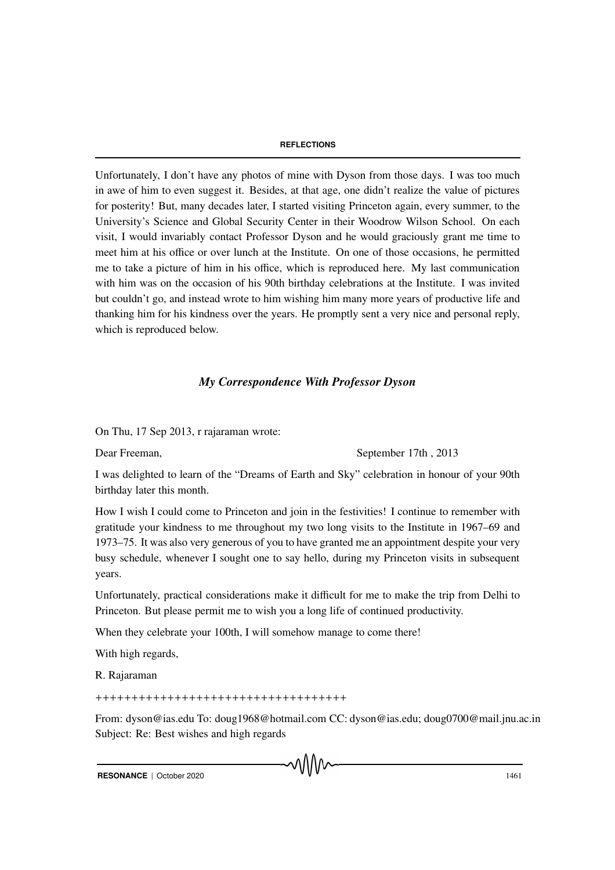## **REFLECTIONS**

Unfortunately, I don't have any photos of mine with Dyson from those days. I was too much in awe of him to even suggest it. Besides, at that age, one didn't realize the value of pictures for posterity! But, many decades later, I started visiting Princeton again, every summer, to the University's Science and Global Security Center in their Woodrow Wilson School. On each visit, I would invariably contact Professor Dyson and he would graciously grant me time to meet him at his office or over lunch at the Institute. On one of those occasions, he permitted me to take a picture of him in his office, which is reproduced here. My last communication with him was on the occasion of his 90th birthday celebrations at the Institute. I was invited but couldn't go, and instead wrote to him wishing him many more years of productive life and thanking him for his kindness over the years. He promptly sent a very nice and personal reply, which is reproduced below.

# *My Correspondence With Professor Dyson*

On Thu, 17 Sep 2013, r rajaraman wrote:

Dear Freeman, September 17th , 2013

I was delighted to learn of the "Dreams of Earth and Sky" celebration in honour of your 90th birthday later this month.

How I wish I could come to Princeton and join in the festivities! I continue to remember with gratitude your kindness to me throughout my two long visits to the Institute in 1967–69 and 1973–75. It was also very generous of you to have granted me an appointment despite your very busy schedule, whenever I sought one to say hello, during my Princeton visits in subsequent years.

Unfortunately, practical considerations make it difficult for me to make the trip from Delhi to Princeton. But please permit me to wish you a long life of continued productivity.

When they celebrate your 100th, I will somehow manage to come there!

With high regards,

R. Rajaraman

+++++++++++++++++++++++++++++++++++

From: dyson@ias.edu To: doug1968@hotmail.com CC: dyson@ias.edu; doug0700@mail.jnu.ac.in Subject: Re: Best wishes and high regards